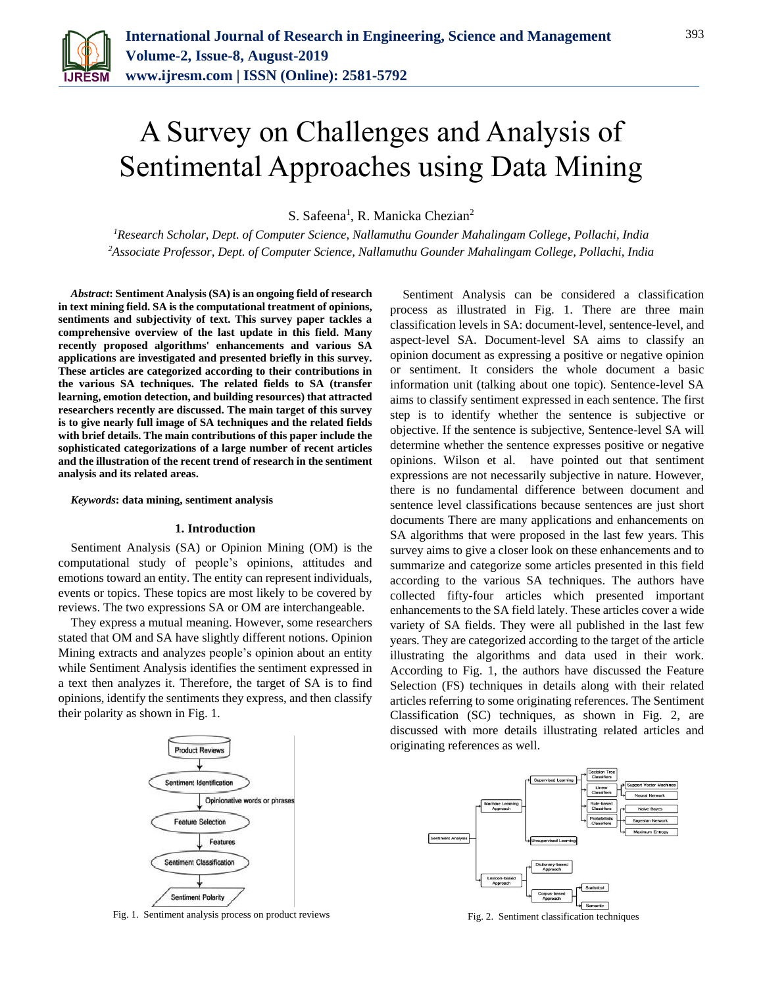

# A Survey on Challenges and Analysis of Sentimental Approaches using Data Mining

S. Safeena<sup>1</sup>, R. Manicka Chezian<sup>2</sup>

*<sup>1</sup>Research Scholar, Dept. of Computer Science, Nallamuthu Gounder Mahalingam College, Pollachi, India 2Associate Professor, Dept. of Computer Science, Nallamuthu Gounder Mahalingam College, Pollachi, India*

*Abstract***: Sentiment Analysis (SA) is an ongoing field of research in text mining field. SA is the computational treatment of opinions, sentiments and subjectivity of text. This survey paper tackles a comprehensive overview of the last update in this field. Many recently proposed algorithms' enhancements and various SA applications are investigated and presented briefly in this survey. These articles are categorized according to their contributions in the various SA techniques. The related fields to SA (transfer learning, emotion detection, and building resources) that attracted researchers recently are discussed. The main target of this survey is to give nearly full image of SA techniques and the related fields with brief details. The main contributions of this paper include the sophisticated categorizations of a large number of recent articles and the illustration of the recent trend of research in the sentiment analysis and its related areas.**

*Keywords***: data mining, sentiment analysis**

#### **1. Introduction**

Sentiment Analysis (SA) or Opinion Mining (OM) is the computational study of people's opinions, attitudes and emotions toward an entity. The entity can represent individuals, events or topics. These topics are most likely to be covered by reviews. The two expressions SA or OM are interchangeable.

They express a mutual meaning. However, some researchers stated that OM and SA have slightly different notions. Opinion Mining extracts and analyzes people's opinion about an entity while Sentiment Analysis identifies the sentiment expressed in a text then analyzes it. Therefore, the target of SA is to find opinions, identify the sentiments they express, and then classify their polarity as shown in Fig. 1.



Fig. 1. Sentiment analysis process on product reviews





Fig. 2. Sentiment classification techniques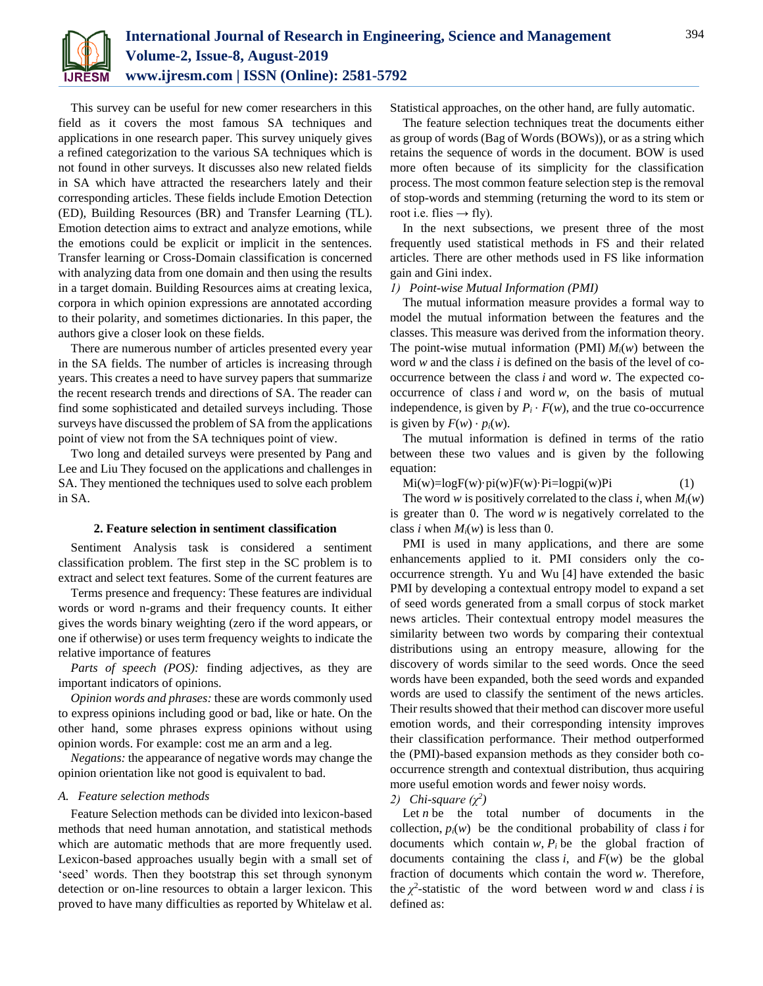

This survey can be useful for new comer researchers in this field as it covers the most famous SA techniques and applications in one research paper. This survey uniquely gives a refined categorization to the various SA techniques which is not found in other surveys. It discusses also new related fields in SA which have attracted the researchers lately and their corresponding articles. These fields include Emotion Detection (ED), Building Resources (BR) and Transfer Learning (TL). Emotion detection aims to extract and analyze emotions, while the emotions could be explicit or implicit in the sentences. Transfer learning or Cross-Domain classification is concerned with analyzing data from one domain and then using the results in a target domain. Building Resources aims at creating lexica, corpora in which opinion expressions are annotated according to their polarity, and sometimes dictionaries. In this paper, the authors give a closer look on these fields.

There are numerous number of articles presented every year in the SA fields. The number of articles is increasing through years. This creates a need to have survey papers that summarize the recent research trends and directions of SA. The reader can find some sophisticated and detailed surveys including. Those surveys have discussed the problem of SA from the applications point of view not from the SA techniques point of view.

Two long and detailed surveys were presented by Pang and Lee and Liu They focused on the applications and challenges in SA. They mentioned the techniques used to solve each problem in SA.

#### **2. Feature selection in sentiment classification**

Sentiment Analysis task is considered a sentiment classification problem. The first step in the SC problem is to extract and select text features. Some of the current features are

Terms presence and frequency: These features are individual words or word n-grams and their frequency counts. It either gives the words binary weighting (zero if the word appears, or one if otherwise) or uses term frequency weights to indicate the relative importance of features

*Parts of speech (POS):* finding adjectives, as they are important indicators of opinions.

*Opinion words and phrases:* these are words commonly used to express opinions including good or bad, like or hate. On the other hand, some phrases express opinions without using opinion words. For example: cost me an arm and a leg.

*Negations:* the appearance of negative words may change the opinion orientation like not good is equivalent to bad.

#### *A. Feature selection methods*

Feature Selection methods can be divided into lexicon-based methods that need human annotation, and statistical methods which are automatic methods that are more frequently used. Lexicon-based approaches usually begin with a small set of 'seed' words. Then they bootstrap this set through synonym detection or on-line resources to obtain a larger lexicon. This proved to have many difficulties as reported by Whitelaw et al.

Statistical approaches, on the other hand, are fully automatic.

The feature selection techniques treat the documents either as group of words (Bag of Words (BOWs)), or as a string which retains the sequence of words in the document. BOW is used more often because of its simplicity for the classification process. The most common feature selection step is the removal of stop-words and stemming (returning the word to its stem or root i.e. flies  $\rightarrow$  fly).

In the next subsections, we present three of the most frequently used statistical methods in FS and their related articles. There are other methods used in FS like information gain and Gini index.

### *1) Point-wise Mutual Information (PMI)*

The mutual information measure provides a formal way to model the mutual information between the features and the classes. This measure was derived from the information theory. The point-wise mutual information (PMI)  $M_i(w)$  between the word *w* and the class *i* is defined on the basis of the level of cooccurrence between the class *i* and word *w*. The expected cooccurrence of class *i* and word *w*, on the basis of mutual independence, is given by  $P_i \cdot F(w)$ , and the true co-occurrence is given by  $F(w) \cdot p_i(w)$ .

The mutual information is defined in terms of the ratio between these two values and is given by the following equation:

 $Mi(w)=logF(w)\cdot pi(w)F(w)\cdot Pi=logpi(w)Pi$  (1)

The word *w* is positively correlated to the class *i*, when  $M_i(w)$ is greater than 0. The word *w* is negatively correlated to the class *i* when  $M_i(w)$  is less than 0.

PMI is used in many applications, and there are some enhancements applied to it. PMI considers only the cooccurrence strength. Yu and Wu [\[4\]](https://www.sciencedirect.com/science/article/pii/S2090447914000550#b0020) have extended the basic PMI by developing a contextual entropy model to expand a set of seed words generated from a small corpus of stock market news articles. Their contextual entropy model measures the similarity between two words by comparing their contextual distributions using an entropy measure, allowing for the discovery of words similar to the seed words. Once the seed words have been expanded, both the seed words and expanded words are used to classify the sentiment of the news articles. Their results showed that their method can discover more useful emotion words, and their corresponding intensity improves their classification performance. Their method outperformed the (PMI)-based expansion methods as they consider both cooccurrence strength and contextual distribution, thus acquiring more useful emotion words and fewer noisy words.

## *2) Chi-square (χ<sup>2</sup> )*

Let  $n$  be the total number of documents in the collection,  $p_i(w)$  be the [conditional probability](https://www.sciencedirect.com/topics/engineering/conditional-probability) of class *i* for documents which contain  $w$ ,  $P_i$  be the global fraction of documents containing the class *i*, and  $F(w)$  be the global fraction of documents which contain the word *w*. Therefore, the  $\chi^2$ -statistic of the word between word *w* and class *i* is defined as: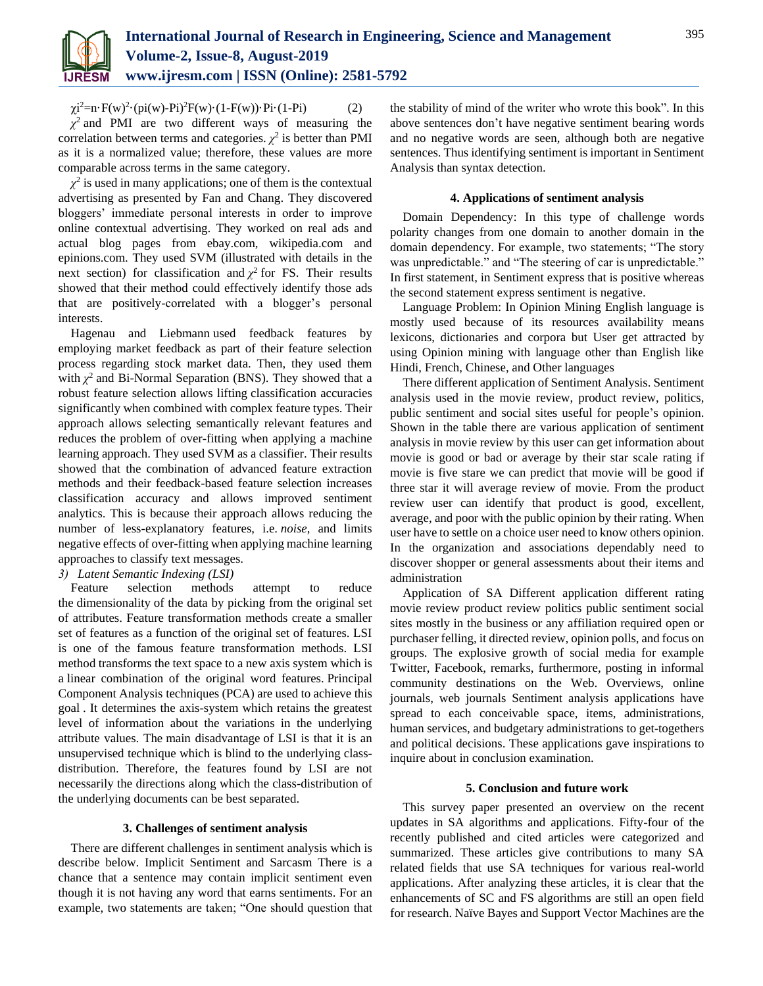

 $\chi i^2 = n \cdot F(w)^2 \cdot (pi(w) - Pi)^2 F(w) \cdot (1 - F(w)) \cdot Pi \cdot (1 - Pi)$  (2) *χ* 2 and PMI are two different ways of measuring the correlation between terms and categories.  $\chi^2$  is better than PMI as it is a normalized value; therefore, these values are more comparable across terms in the same category.

 $\chi^2$  is used in many applications; one of them is the contextual advertising as presented by Fan and Chang. They discovered bloggers' immediate personal interests in order to improve online contextual advertising. They worked on real ads and actual blog pages from ebay.com, wikipedia.com and epinions.com. They used SVM (illustrated with details in the next section) for classification and  $\chi^2$  for FS. Their results showed that their method could effectively identify those ads that are positively-correlated with a blogger's personal interests.

Hagenau and Liebmann used feedback features by employing market feedback as part of their feature selection process regarding stock market data. Then, they used them with  $\chi^2$  and Bi-Normal Separation (BNS). They showed that a robust feature selection allows lifting [classification accuracies](https://www.sciencedirect.com/topics/engineering/classification-accuracy) significantly when combined with complex feature types. Their approach allows selecting semantically relevant features and reduces the problem of over-fitting when applying a machine learning approach. They used SVM as a classifier. Their results showed that the combination of advanced feature extraction methods and their feedback-based feature selection increases classification accuracy and allows improved sentiment analytics. This is because their approach allows reducing the number of less-explanatory features, i.e. *noise*, and limits negative effects of over-fitting when applying machine learning approaches to classify text messages.

*3) Latent Semantic Indexing (LSI)*

Feature selection methods attempt to reduce the [dimensionality](https://www.sciencedirect.com/topics/engineering/dimensionality) of the data by picking from the original set of attributes. Feature transformation methods create a smaller set of features as a function of the original set of features. LSI is one of the famous feature transformation methods. LSI method transforms the text space to a new [axis system](https://www.sciencedirect.com/topics/engineering/axis-system) which is a [linear combination](https://www.sciencedirect.com/topics/engineering/linear-combination) of the original word features. [Principal](https://www.sciencedirect.com/topics/engineering/principal-component-analysis)  [Component Analysis](https://www.sciencedirect.com/topics/engineering/principal-component-analysis) techniques (PCA) are used to achieve this goal . It determines the axis-system which retains the greatest level of information about the variations in the underlying attribute values. The [main disadvantage](https://www.sciencedirect.com/topics/engineering/main-disadvantage) of LSI is that it is an unsupervised technique which is blind to the underlying [class](https://www.sciencedirect.com/topics/engineering/class-distribution)[distribution.](https://www.sciencedirect.com/topics/engineering/class-distribution) Therefore, the features found by LSI are not necessarily the directions along which the class-distribution of the underlying documents can be best separated.

## **3. Challenges of sentiment analysis**

There are different challenges in sentiment analysis which is describe below. Implicit Sentiment and Sarcasm There is a chance that a sentence may contain implicit sentiment even though it is not having any word that earns sentiments. For an example, two statements are taken; "One should question that the stability of mind of the writer who wrote this book". In this above sentences don't have negative sentiment bearing words and no negative words are seen, although both are negative sentences. Thus identifying sentiment is important in Sentiment Analysis than syntax detection.

### **4. Applications of sentiment analysis**

Domain Dependency: In this type of challenge words polarity changes from one domain to another domain in the domain dependency. For example, two statements; "The story was unpredictable." and "The steering of car is unpredictable." In first statement, in Sentiment express that is positive whereas the second statement express sentiment is negative.

Language Problem: In Opinion Mining English language is mostly used because of its resources availability means lexicons, dictionaries and corpora but User get attracted by using Opinion mining with language other than English like Hindi, French, Chinese, and Other languages

There different application of Sentiment Analysis. Sentiment analysis used in the movie review, product review, politics, public sentiment and social sites useful for people's opinion. Shown in the table there are various application of sentiment analysis in movie review by this user can get information about movie is good or bad or average by their star scale rating if movie is five stare we can predict that movie will be good if three star it will average review of movie. From the product review user can identify that product is good, excellent, average, and poor with the public opinion by their rating. When user have to settle on a choice user need to know others opinion. In the organization and associations dependably need to discover shopper or general assessments about their items and administration

Application of SA Different application different rating movie review product review politics public sentiment social sites mostly in the business or any affiliation required open or purchaser felling, it directed review, opinion polls, and focus on groups. The explosive growth of social media for example Twitter, Facebook, remarks, furthermore, posting in informal community destinations on the Web. Overviews, online journals, web journals Sentiment analysis applications have spread to each conceivable space, items, administrations, human services, and budgetary administrations to get-togethers and political decisions. These applications gave inspirations to inquire about in conclusion examination.

## **5. Conclusion and future work**

This survey paper presented an overview on the recent updates in SA algorithms and applications. Fifty-four of the recently published and cited articles were categorized and summarized. These articles give contributions to many SA related fields that use SA techniques for various real-world applications. After analyzing these articles, it is clear that the enhancements of SC and FS algorithms are still an open field for research. Naïve Bayes and Support Vector Machines are the